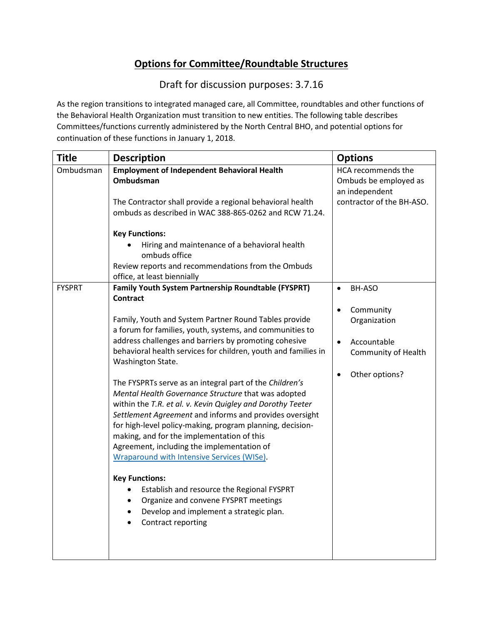## **Options for Committee/Roundtable Structures**

Draft for discussion purposes: 3.7.16

As the region transitions to integrated managed care, all Committee, roundtables and other functions of the Behavioral Health Organization must transition to new entities. The following table describes Committees/functions currently administered by the North Central BHO, and potential options for continuation of these functions in January 1, 2018.

| <b>Title</b>  | <b>Description</b>                                                                                                                                                                                                                                                                                                                                                                                                                                                                                                                                                                                                                                                                                                                                                                                                                                                                                                                                                                         | <b>Options</b>                                                                                                                     |
|---------------|--------------------------------------------------------------------------------------------------------------------------------------------------------------------------------------------------------------------------------------------------------------------------------------------------------------------------------------------------------------------------------------------------------------------------------------------------------------------------------------------------------------------------------------------------------------------------------------------------------------------------------------------------------------------------------------------------------------------------------------------------------------------------------------------------------------------------------------------------------------------------------------------------------------------------------------------------------------------------------------------|------------------------------------------------------------------------------------------------------------------------------------|
| Ombudsman     | <b>Employment of Independent Behavioral Health</b><br>Ombudsman<br>The Contractor shall provide a regional behavioral health<br>ombuds as described in WAC 388-865-0262 and RCW 71.24.                                                                                                                                                                                                                                                                                                                                                                                                                                                                                                                                                                                                                                                                                                                                                                                                     | HCA recommends the<br>Ombuds be employed as<br>an independent<br>contractor of the BH-ASO.                                         |
|               | <b>Key Functions:</b><br>Hiring and maintenance of a behavioral health<br>ombuds office<br>Review reports and recommendations from the Ombuds<br>office, at least biennially                                                                                                                                                                                                                                                                                                                                                                                                                                                                                                                                                                                                                                                                                                                                                                                                               |                                                                                                                                    |
| <b>FYSPRT</b> | Family Youth System Partnership Roundtable (FYSPRT)<br><b>Contract</b><br>Family, Youth and System Partner Round Tables provide<br>a forum for families, youth, systems, and communities to<br>address challenges and barriers by promoting cohesive<br>behavioral health services for children, youth and families in<br>Washington State.<br>The FYSPRTs serve as an integral part of the Children's<br>Mental Health Governance Structure that was adopted<br>within the T.R. et al. v. Kevin Quigley and Dorothy Teeter<br>Settlement Agreement and informs and provides oversight<br>for high-level policy-making, program planning, decision-<br>making, and for the implementation of this<br>Agreement, including the implementation of<br>Wraparound with Intensive Services (WISe).<br><b>Key Functions:</b><br>Establish and resource the Regional FYSPRT<br>Organize and convene FYSPRT meetings<br>Develop and implement a strategic plan.<br>$\bullet$<br>Contract reporting | BH-ASO<br>$\bullet$<br>Community<br>$\bullet$<br>Organization<br>Accountable<br>$\bullet$<br>Community of Health<br>Other options? |